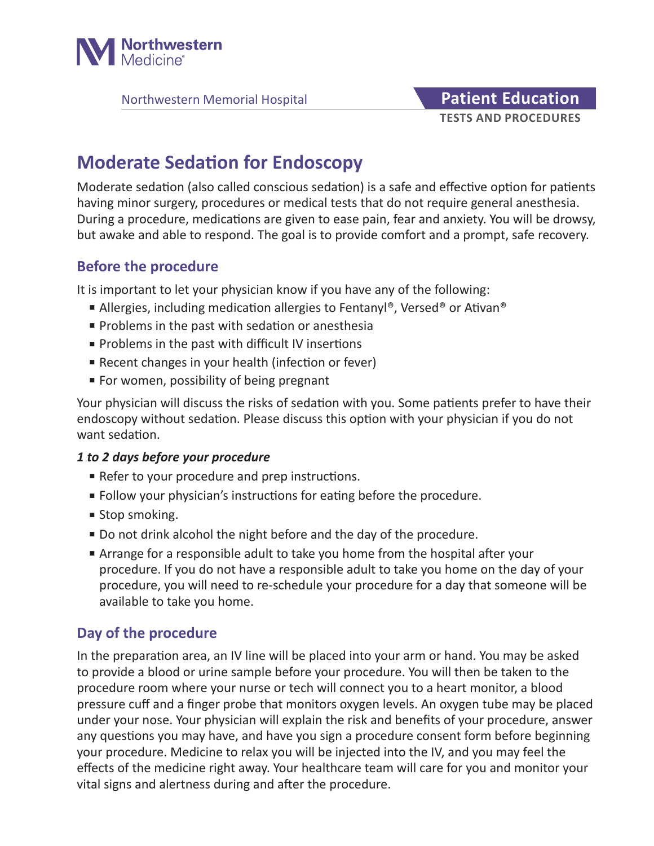

Northwestern Memorial Hospital **Patient Education** 

# **TESTS AND PROCEDURES**

# **Moderate Sedation for Endoscopy**

Moderate sedation (also called conscious sedation) is a safe and effective option for patients having minor surgery, procedures or medical tests that do not require general anesthesia. During a procedure, medications are given to ease pain, fear and anxiety. You will be drowsy, but awake and able to respond. The goal is to provide comfort and a prompt, safe recovery.

### **Before the procedure**

It is important to let your physician know if you have any of the following:

- Allergies, including medication allergies to Fentanyl®, Versed® or Ativan®
- Problems in the past with sedation or anesthesia
- Problems in the past with difficult IV insertions
- Recent changes in your health (infection or fever)
- For women, possibility of being pregnant

Your physician will discuss the risks of sedation with you. Some patients prefer to have their endoscopy without sedation. Please discuss this option with your physician if you do not want sedation.

#### *1 to 2 days before your procedure*

- Refer to your procedure and prep instructions.
- Follow your physician's instructions for eating before the procedure.
- Stop smoking.
- Do not drink alcohol the night before and the day of the procedure.
- Arrange for a responsible adult to take you home from the hospital after your procedure. If you do not have a responsible adult to take you home on the day of your procedure, you will need to re-schedule your procedure for a day that someone will be available to take you home.

# **Day of the procedure**

In the preparation area, an IV line will be placed into your arm or hand. You may be asked to provide a blood or urine sample before your procedure. You will then be taken to the procedure room where your nurse or tech will connect you to a heart monitor, a blood pressure cuff and a finger probe that monitors oxygen levels. An oxygen tube may be placed under your nose. Your physician will explain the risk and benefits of your procedure, answer any questions you may have, and have you sign a procedure consent form before beginning your procedure. Medicine to relax you will be injected into the IV, and you may feel the effects of the medicine right away. Your healthcare team will care for you and monitor your vital signs and alertness during and after the procedure.